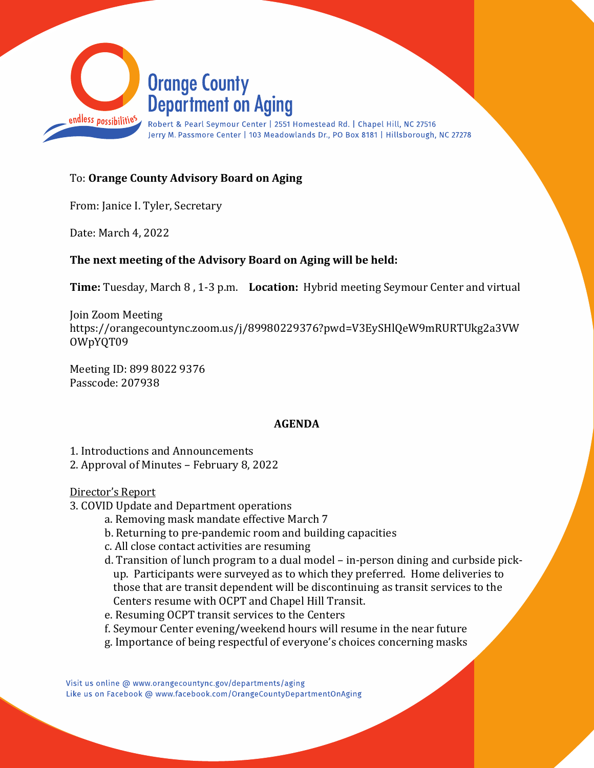

## To: Orange County Advisory Board on Aging

From: Janice I. Tyler, Secretary

Date: March 4, 2022

### The next meeting of the Advisory Board on Aging will be held:

Time: Tuesday, March 8 , 1-3 p.m. Location: Hybrid meeting Seymour Center and virtual

Join Zoom Meeting https://orangecountync.zoom.us/j/89980229376?pwd=V3EySHlQeW9mRURTUkg2a3VW OWpYQT09

Meeting ID: 899 8022 9376 Passcode: 207938

#### AGENDA

1. Introductions and Announcements

2. Approval of Minutes – February 8, 2022

Director's Report

- 3. COVID Update and Department operations
	- a. Removing mask mandate effective March 7
	- b. Returning to pre-pandemic room and building capacities
	- c. All close contact activities are resuming
	- d. Transition of lunch program to a dual model in-person dining and curbside pickup. Participants were surveyed as to which they preferred. Home deliveries to those that are transit dependent will be discontinuing as transit services to the Centers resume with OCPT and Chapel Hill Transit.
	- e. Resuming OCPT transit services to the Centers
	- f. Seymour Center evening/weekend hours will resume in the near future
	- g. Importance of being respectful of everyone's choices concerning masks

Visit us online @ www.orangecountync.gov/departments/aging Like us on Facebook @ www.facebook.com/OrangeCountyDepartmentOnAging